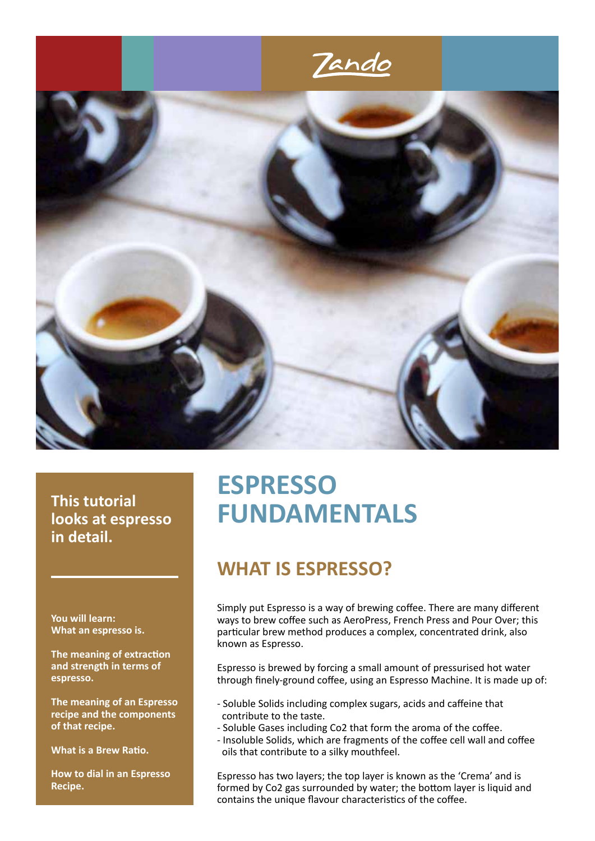

### **This tutorial looks at espresso in detail.**

**You will learn: What an espresso is.**

**The meaning of extraction and strength in terms of espresso.**

**The meaning of an Espresso recipe and the components of that recipe.**

**What is a Brew Ratio.**

**How to dial in an Espresso Recipe.**

# **ESPRESSO FUNDAMENTALS**

# **WHAT IS ESPRESSO?**

Simply put Espresso is a way of brewing coffee. There are many different ways to brew coffee such as AeroPress, French Press and Pour Over; this particular brew method produces a complex, concentrated drink, also known as Espresso.

Espresso is brewed by forcing a small amount of pressurised hot water through finely-ground coffee, using an Espresso Machine. It is made up of:

- Soluble Solids including complex sugars, acids and caffeine that contribute to the taste.
- Soluble Gases including Co2 that form the aroma of the coffee.
- Insoluble Solids, which are fragments of the coffee cell wall and coffee oils that contribute to a silky mouthfeel.

Espresso has two layers; the top layer is known as the 'Crema' and is formed by Co2 gas surrounded by water; the bottom layer is liquid and contains the unique flavour characteristics of the coffee.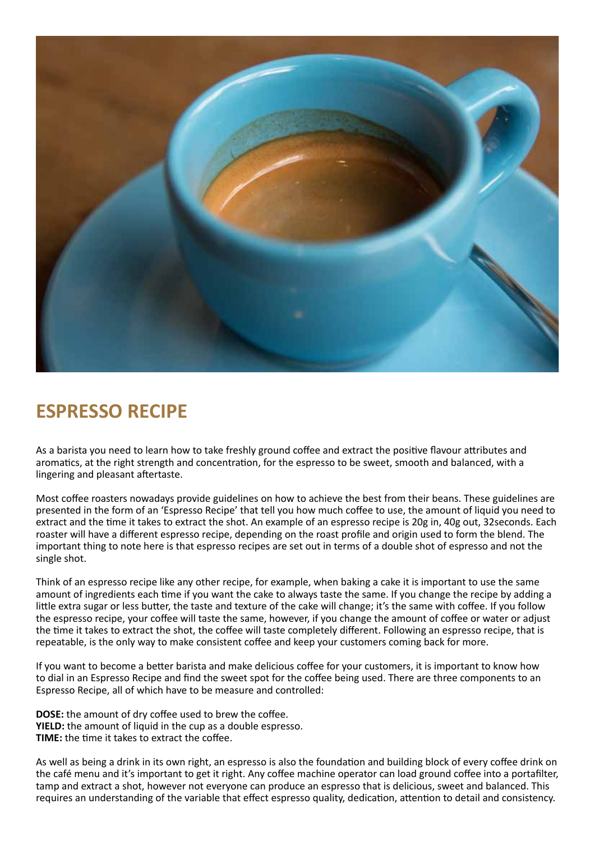

# **ESPRESSO RECIPE**

As a barista you need to learn how to take freshly ground coffee and extract the positive flavour attributes and aromatics, at the right strength and concentration, for the espresso to be sweet, smooth and balanced, with a lingering and pleasant aftertaste.

Most coffee roasters nowadays provide guidelines on how to achieve the best from their beans. These guidelines are presented in the form of an 'Espresso Recipe' that tell you how much coffee to use, the amount of liquid you need to extract and the time it takes to extract the shot. An example of an espresso recipe is 20g in, 40g out, 32seconds. Each roaster will have a different espresso recipe, depending on the roast profile and origin used to form the blend. The important thing to note here is that espresso recipes are set out in terms of a double shot of espresso and not the single shot.

Think of an espresso recipe like any other recipe, for example, when baking a cake it is important to use the same amount of ingredients each time if you want the cake to always taste the same. If you change the recipe by adding a little extra sugar or less butter, the taste and texture of the cake will change; it's the same with coffee. If you follow the espresso recipe, your coffee will taste the same, however, if you change the amount of coffee or water or adjust the time it takes to extract the shot, the coffee will taste completely different. Following an espresso recipe, that is repeatable, is the only way to make consistent coffee and keep your customers coming back for more.

If you want to become a better barista and make delicious coffee for your customers, it is important to know how to dial in an Espresso Recipe and find the sweet spot for the coffee being used. There are three components to an Espresso Recipe, all of which have to be measure and controlled:

**DOSE:** the amount of dry coffee used to brew the coffee. **YIELD:** the amount of liquid in the cup as a double espresso. **TIME:** the time it takes to extract the coffee.

As well as being a drink in its own right, an espresso is also the foundation and building block of every coffee drink on the café menu and it's important to get it right. Any coffee machine operator can load ground coffee into a portafilter, tamp and extract a shot, however not everyone can produce an espresso that is delicious, sweet and balanced. This requires an understanding of the variable that effect espresso quality, dedication, attention to detail and consistency.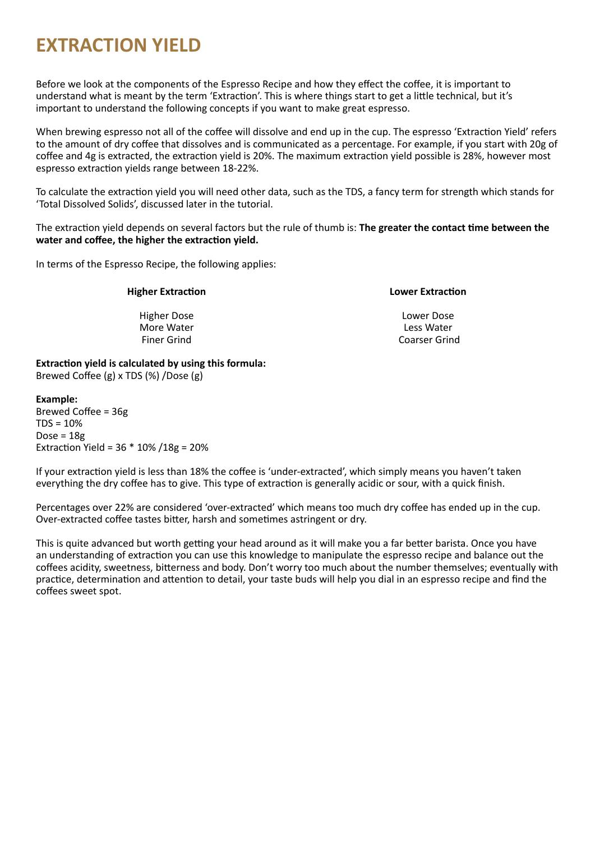# **EXTRACTION YIELD**

Before we look at the components of the Espresso Recipe and how they effect the coffee, it is important to understand what is meant by the term 'Extraction'. This is where things start to get a little technical, but it's important to understand the following concepts if you want to make great espresso.

When brewing espresso not all of the coffee will dissolve and end up in the cup. The espresso 'Extraction Yield' refers to the amount of dry coffee that dissolves and is communicated as a percentage. For example, if you start with 20g of coffee and 4g is extracted, the extraction yield is 20%. The maximum extraction yield possible is 28%, however most espresso extraction yields range between 18-22%.

To calculate the extraction yield you will need other data, such as the TDS, a fancy term for strength which stands for 'Total Dissolved Solids', discussed later in the tutorial.

The extraction yield depends on several factors but the rule of thumb is: **The greater the contact time between the water and coffee, the higher the extraction yield.**

In terms of the Espresso Recipe, the following applies:

#### **Higher Extraction**

Higher Dose More Water Finer Grind

#### **Lower Extraction**

Lower Dose Less Water Coarser Grind

**Extraction yield is calculated by using this formula:** Brewed Coffee (g) x TDS (%) /Dose (g)

#### **Example:**

Brewed Coffee = 36g  $TDS = 10%$ Dose = 18g Extraction Yield = 36 \* 10% /18g = 20%

If your extraction yield is less than 18% the coffee is 'under-extracted', which simply means you haven't taken everything the dry coffee has to give. This type of extraction is generally acidic or sour, with a quick finish.

Percentages over 22% are considered 'over-extracted' which means too much dry coffee has ended up in the cup. Over-extracted coffee tastes bitter, harsh and sometimes astringent or dry.

This is quite advanced but worth getting your head around as it will make you a far better barista. Once you have an understanding of extraction you can use this knowledge to manipulate the espresso recipe and balance out the coffees acidity, sweetness, bitterness and body. Don't worry too much about the number themselves; eventually with practice, determination and attention to detail, your taste buds will help you dial in an espresso recipe and find the coffees sweet spot.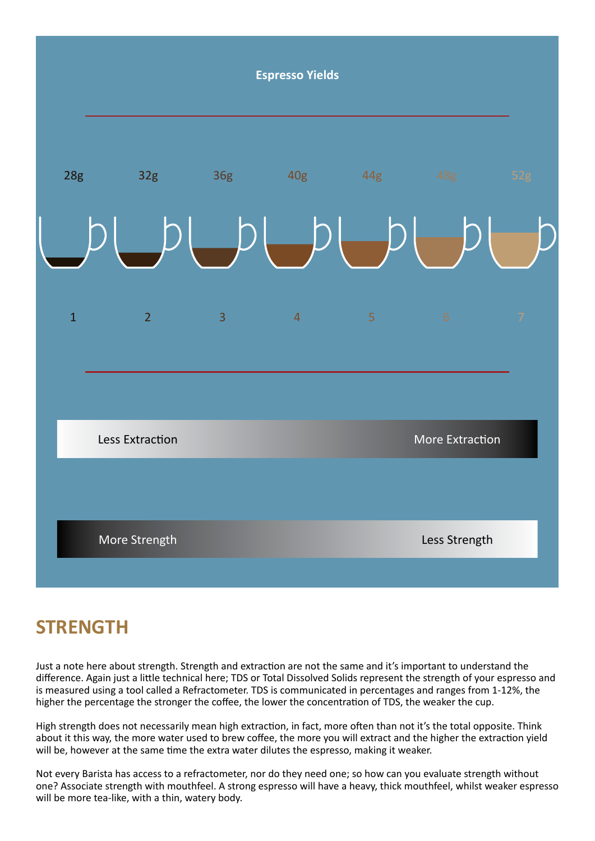

# **STRENGTH**

Just a note here about strength. Strength and extraction are not the same and it's important to understand the difference. Again just a little technical here; TDS or Total Dissolved Solids represent the strength of your espresso and is measured using a tool called a Refractometer. TDS is communicated in percentages and ranges from 1-12%, the higher the percentage the stronger the coffee, the lower the concentration of TDS, the weaker the cup.

High strength does not necessarily mean high extraction, in fact, more often than not it's the total opposite. Think about it this way, the more water used to brew coffee, the more you will extract and the higher the extraction yield will be, however at the same time the extra water dilutes the espresso, making it weaker.

Not every Barista has access to a refractometer, nor do they need one; so how can you evaluate strength without one? Associate strength with mouthfeel. A strong espresso will have a heavy, thick mouthfeel, whilst weaker espresso will be more tea-like, with a thin, watery body.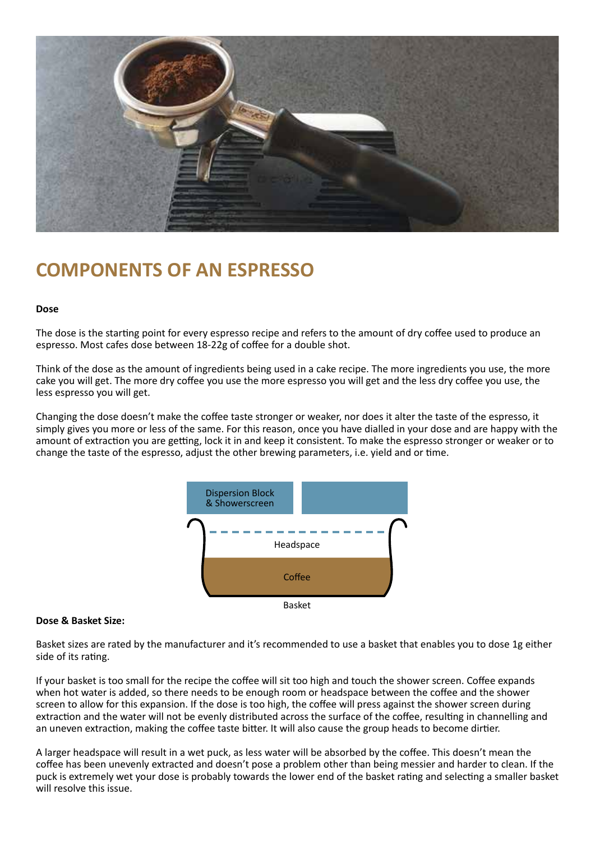

## **COMPONENTS OF AN ESPRESSO**

#### **Dose**

The dose is the starting point for every espresso recipe and refers to the amount of dry coffee used to produce an espresso. Most cafes dose between 18-22g of coffee for a double shot.

Think of the dose as the amount of ingredients being used in a cake recipe. The more ingredients you use, the more cake you will get. The more dry coffee you use the more espresso you will get and the less dry coffee you use, the less espresso you will get.

Changing the dose doesn't make the coffee taste stronger or weaker, nor does it alter the taste of the espresso, it simply gives you more or less of the same. For this reason, once you have dialled in your dose and are happy with the amount of extraction you are getting, lock it in and keep it consistent. To make the espresso stronger or weaker or to change the taste of the espresso, adjust the other brewing parameters, i.e. yield and or time.



#### **Dose & Basket Size:**

Basket sizes are rated by the manufacturer and it's recommended to use a basket that enables you to dose 1g either side of its rating.

If your basket is too small for the recipe the coffee will sit too high and touch the shower screen. Coffee expands when hot water is added, so there needs to be enough room or headspace between the coffee and the shower screen to allow for this expansion. If the dose is too high, the coffee will press against the shower screen during extraction and the water will not be evenly distributed across the surface of the coffee, resulting in channelling and an uneven extraction, making the coffee taste bitter. It will also cause the group heads to become dirtier.

A larger headspace will result in a wet puck, as less water will be absorbed by the coffee. This doesn't mean the coffee has been unevenly extracted and doesn't pose a problem other than being messier and harder to clean. If the puck is extremely wet your dose is probably towards the lower end of the basket rating and selecting a smaller basket will resolve this issue.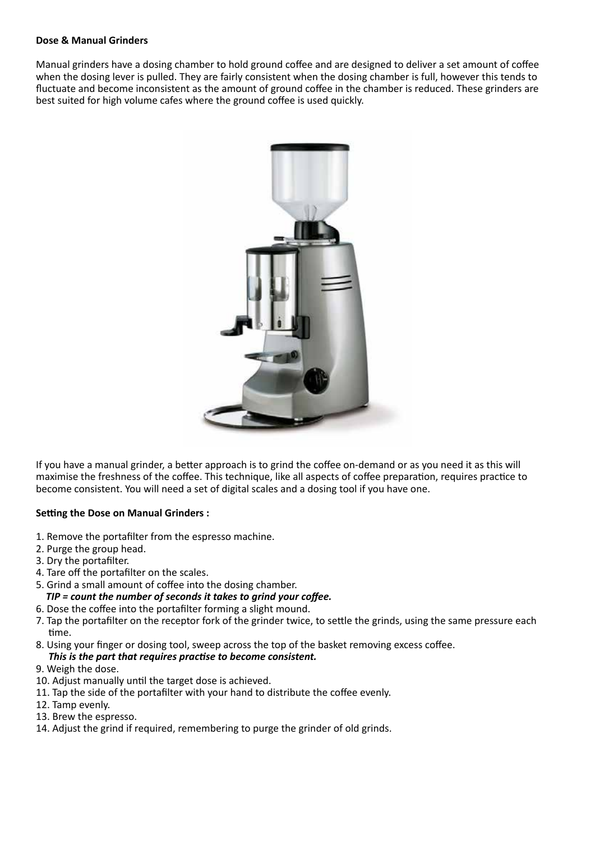#### **Dose & Manual Grinders**

Manual grinders have a dosing chamber to hold ground coffee and are designed to deliver a set amount of coffee when the dosing lever is pulled. They are fairly consistent when the dosing chamber is full, however this tends to fluctuate and become inconsistent as the amount of ground coffee in the chamber is reduced. These grinders are best suited for high volume cafes where the ground coffee is used quickly.



If you have a manual grinder, a better approach is to grind the coffee on-demand or as you need it as this will maximise the freshness of the coffee. This technique, like all aspects of coffee preparation, requires practice to become consistent. You will need a set of digital scales and a dosing tool if you have one.

#### **Setting the Dose on Manual Grinders :**

- 1. Remove the portafilter from the espresso machine.
- 2. Purge the group head.
- 3. Dry the portafilter.
- 4. Tare off the portafilter on the scales.
- 5. Grind a small amount of coffee into the dosing chamber.
	- *TIP = count the number of seconds it takes to grind your coffee.*
- 6. Dose the coffee into the portafilter forming a slight mound.
- 7. Tap the portafilter on the receptor fork of the grinder twice, to settle the grinds, using the same pressure each time.
- 8. Using your finger or dosing tool, sweep across the top of the basket removing excess coffee. *This is the part that requires practise to become consistent.*
- 9. Weigh the dose.
- 10. Adjust manually until the target dose is achieved.
- 11. Tap the side of the portafilter with your hand to distribute the coffee evenly.
- 12. Tamp evenly.
- 13. Brew the espresso.
- 14. Adjust the grind if required, remembering to purge the grinder of old grinds.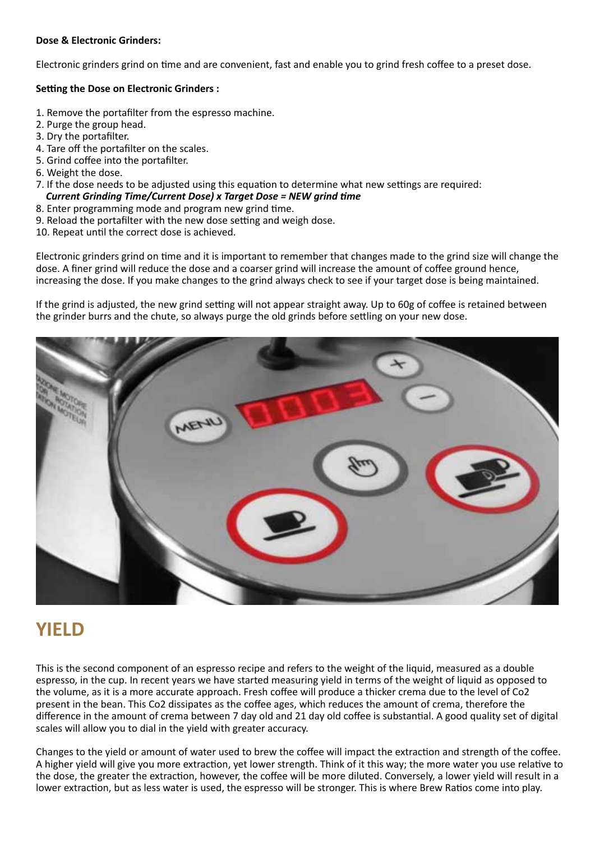#### **Dose & Electronic Grinders:**

Electronic grinders grind on time and are convenient, fast and enable you to grind fresh coffee to a preset dose.

#### **Setting the Dose on Electronic Grinders :**

- 1. Remove the portafilter from the espresso machine.
- 2. Purge the group head.
- 3. Dry the portafilter.
- 4. Tare off the portafilter on the scales.
- 5. Grind coffee into the portafilter.
- 6. Weight the dose.
- 7. If the dose needs to be adjusted using this equation to determine what new settings are required: *Current Grinding Time/Current Dose) x Target Dose = NEW grind time*
- 8. Enter programming mode and program new grind time.
- 9. Reload the portafilter with the new dose setting and weigh dose.
- 10. Repeat until the correct dose is achieved.

Electronic grinders grind on time and it is important to remember that changes made to the grind size will change the dose. A finer grind will reduce the dose and a coarser grind will increase the amount of coffee ground hence, increasing the dose. If you make changes to the grind always check to see if your target dose is being maintained.

If the grind is adjusted, the new grind setting will not appear straight away. Up to 60g of coffee is retained between the grinder burrs and the chute, so always purge the old grinds before settling on your new dose.



### **YIELD**

This is the second component of an espresso recipe and refers to the weight of the liquid, measured as a double espresso, in the cup. In recent years we have started measuring yield in terms of the weight of liquid as opposed to the volume, as it is a more accurate approach. Fresh coffee will produce a thicker crema due to the level of Co2 present in the bean. This Co2 dissipates as the coffee ages, which reduces the amount of crema, therefore the difference in the amount of crema between 7 day old and 21 day old coffee is substantial. A good quality set of digital scales will allow you to dial in the yield with greater accuracy.

Changes to the yield or amount of water used to brew the coffee will impact the extraction and strength of the coffee. A higher yield will give you more extraction, yet lower strength. Think of it this way; the more water you use relative to the dose, the greater the extraction, however, the coffee will be more diluted. Conversely, a lower yield will result in a lower extraction, but as less water is used, the espresso will be stronger. This is where Brew Ratios come into play.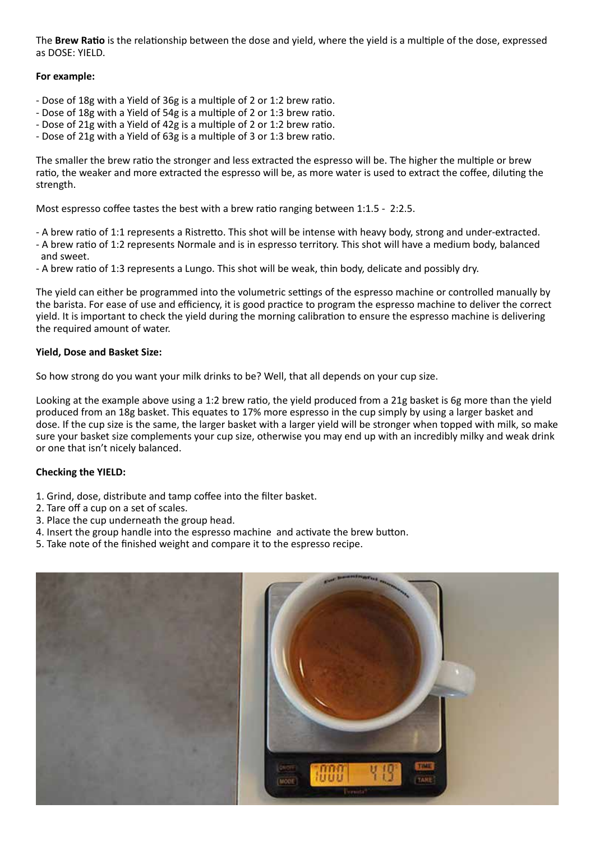The **Brew Ratio** is the relationship between the dose and yield, where the yield is a multiple of the dose, expressed as DOSE: YIELD.

#### **For example:**

- Dose of 18g with a Yield of 36g is a multiple of 2 or 1:2 brew ratio.
- Dose of 18g with a Yield of 54g is a multiple of 2 or 1:3 brew ratio.
- Dose of 21g with a Yield of 42g is a multiple of 2 or 1:2 brew ratio.
- Dose of 21g with a Yield of 63g is a multiple of 3 or 1:3 brew ratio.

The smaller the brew ratio the stronger and less extracted the espresso will be. The higher the multiple or brew ratio, the weaker and more extracted the espresso will be, as more water is used to extract the coffee, diluting the strength.

Most espresso coffee tastes the best with a brew ratio ranging between 1:1.5 - 2:2.5.

- A brew ratio of 1:1 represents a Ristretto. This shot will be intense with heavy body, strong and under-extracted.
- A brew ratio of 1:2 represents Normale and is in espresso territory. This shot will have a medium body, balanced and sweet.
- A brew ratio of 1:3 represents a Lungo. This shot will be weak, thin body, delicate and possibly dry.

The yield can either be programmed into the volumetric settings of the espresso machine or controlled manually by the barista. For ease of use and efficiency, it is good practice to program the espresso machine to deliver the correct yield. It is important to check the yield during the morning calibration to ensure the espresso machine is delivering the required amount of water.

#### **Yield, Dose and Basket Size:**

So how strong do you want your milk drinks to be? Well, that all depends on your cup size.

Looking at the example above using a 1:2 brew ratio, the yield produced from a 21g basket is 6g more than the yield produced from an 18g basket. This equates to 17% more espresso in the cup simply by using a larger basket and dose. If the cup size is the same, the larger basket with a larger yield will be stronger when topped with milk, so make sure your basket size complements your cup size, otherwise you may end up with an incredibly milky and weak drink or one that isn't nicely balanced.

### **Checking the YIELD:**

- 1. Grind, dose, distribute and tamp coffee into the filter basket.
- 2. Tare off a cup on a set of scales.
- 3. Place the cup underneath the group head.
- 4. Insert the group handle into the espresso machine and activate the brew button.
- 5. Take note of the finished weight and compare it to the espresso recipe.

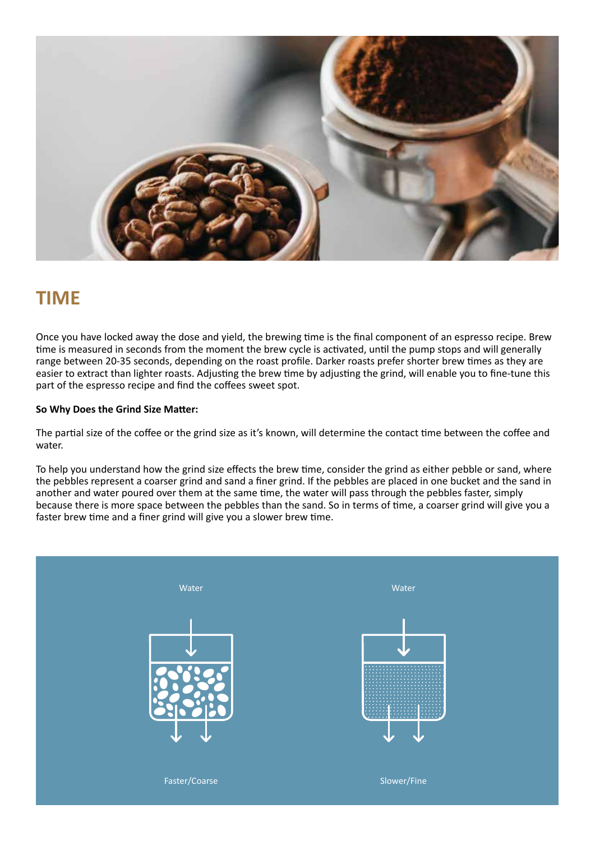

## **TIME**

Once you have locked away the dose and yield, the brewing time is the final component of an espresso recipe. Brew time is measured in seconds from the moment the brew cycle is activated, until the pump stops and will generally range between 20-35 seconds, depending on the roast profile. Darker roasts prefer shorter brew times as they are easier to extract than lighter roasts. Adjusting the brew time by adjusting the grind, will enable you to fine-tune this part of the espresso recipe and find the coffees sweet spot.

#### **So Why Does the Grind Size Matter:**

The partial size of the coffee or the grind size as it's known, will determine the contact time between the coffee and water.

To help you understand how the grind size effects the brew time, consider the grind as either pebble or sand, where the pebbles represent a coarser grind and sand a finer grind. If the pebbles are placed in one bucket and the sand in another and water poured over them at the same time, the water will pass through the pebbles faster, simply because there is more space between the pebbles than the sand. So in terms of time, a coarser grind will give you a faster brew time and a finer grind will give you a slower brew time.

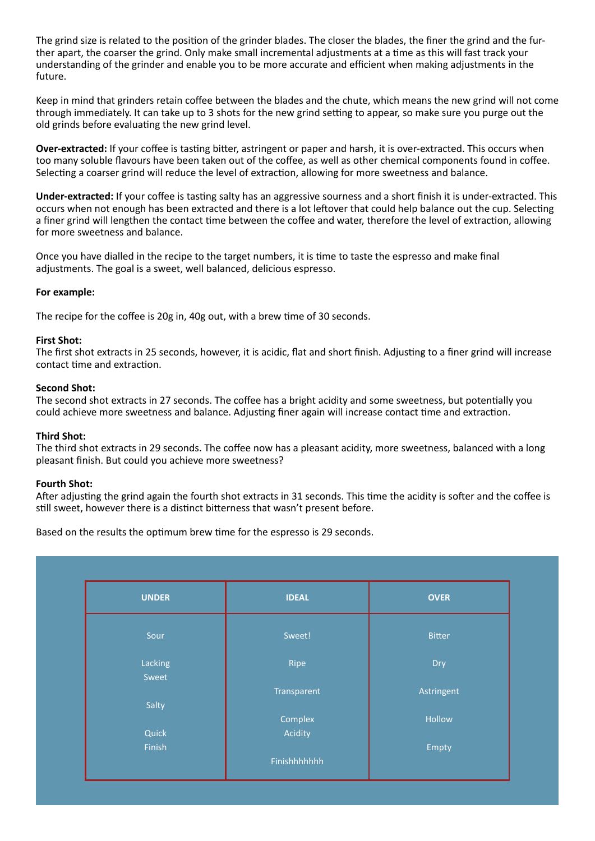The grind size is related to the position of the grinder blades. The closer the blades, the finer the grind and the further apart, the coarser the grind. Only make small incremental adjustments at a time as this will fast track your understanding of the grinder and enable you to be more accurate and efficient when making adjustments in the future.

Keep in mind that grinders retain coffee between the blades and the chute, which means the new grind will not come through immediately. It can take up to 3 shots for the new grind setting to appear, so make sure you purge out the old grinds before evaluating the new grind level.

**Over-extracted:** If your coffee is tasting bitter, astringent or paper and harsh, it is over-extracted. This occurs when too many soluble flavours have been taken out of the coffee, as well as other chemical components found in coffee. Selecting a coarser grind will reduce the level of extraction, allowing for more sweetness and balance.

**Under-extracted:** If your coffee is tasting salty has an aggressive sourness and a short finish it is under-extracted. This occurs when not enough has been extracted and there is a lot leftover that could help balance out the cup. Selecting a finer grind will lengthen the contact time between the coffee and water, therefore the level of extraction, allowing for more sweetness and balance.

Once you have dialled in the recipe to the target numbers, it is time to taste the espresso and make final adjustments. The goal is a sweet, well balanced, delicious espresso.

#### **For example:**

The recipe for the coffee is 20g in, 40g out, with a brew time of 30 seconds.

#### **First Shot:**

The first shot extracts in 25 seconds, however, it is acidic, flat and short finish. Adjusting to a finer grind will increase contact time and extraction.

#### **Second Shot:**

The second shot extracts in 27 seconds. The coffee has a bright acidity and some sweetness, but potentially you could achieve more sweetness and balance. Adjusting finer again will increase contact time and extraction.

#### **Third Shot:**

The third shot extracts in 29 seconds. The coffee now has a pleasant acidity, more sweetness, balanced with a long pleasant finish. But could you achieve more sweetness?

#### **Fourth Shot:**

After adjusting the grind again the fourth shot extracts in 31 seconds. This time the acidity is softer and the coffee is still sweet, however there is a distinct bitterness that wasn't present before.

Based on the results the optimum brew time for the espresso is 29 seconds.

| <b>UNDER</b> | <b>IDEAL</b> | <b>OVER</b>   |
|--------------|--------------|---------------|
|              |              |               |
| Sour         | Sweet!       | <b>Bitter</b> |
|              |              |               |
| Lacking      | Ripe         | Dry           |
| Sweet        |              |               |
|              | Transparent  | Astringent    |
| Salty        |              |               |
|              | Complex      | Hollow        |
| Quick        | Acidity      |               |
| Finish       |              | Empty         |
|              | Finishhhhhhh |               |